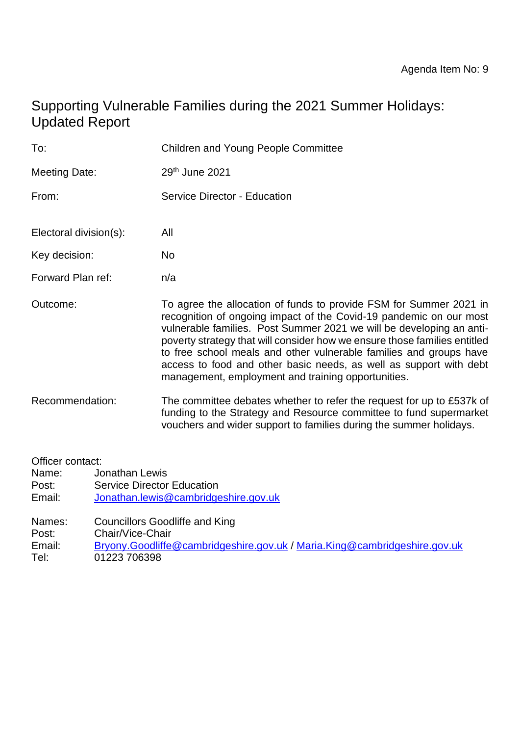# Supporting Vulnerable Families during the 2021 Summer Holidays: Updated Report

| To:                    | <b>Children and Young People Committee</b>                                                                                                                                                                                                                                                                                                                                                                                                                                                      |  |  |
|------------------------|-------------------------------------------------------------------------------------------------------------------------------------------------------------------------------------------------------------------------------------------------------------------------------------------------------------------------------------------------------------------------------------------------------------------------------------------------------------------------------------------------|--|--|
| <b>Meeting Date:</b>   | 29th June 2021                                                                                                                                                                                                                                                                                                                                                                                                                                                                                  |  |  |
| From:                  | Service Director - Education                                                                                                                                                                                                                                                                                                                                                                                                                                                                    |  |  |
| Electoral division(s): | All                                                                                                                                                                                                                                                                                                                                                                                                                                                                                             |  |  |
| Key decision:          | <b>No</b>                                                                                                                                                                                                                                                                                                                                                                                                                                                                                       |  |  |
| Forward Plan ref:      | n/a                                                                                                                                                                                                                                                                                                                                                                                                                                                                                             |  |  |
| Outcome:               | To agree the allocation of funds to provide FSM for Summer 2021 in<br>recognition of ongoing impact of the Covid-19 pandemic on our most<br>vulnerable families. Post Summer 2021 we will be developing an anti-<br>poverty strategy that will consider how we ensure those families entitled<br>to free school meals and other vulnerable families and groups have<br>access to food and other basic needs, as well as support with debt<br>management, employment and training opportunities. |  |  |
| Recommendation:        | The committee debates whether to refer the request for up to £537k of<br>funding to the Strategy and Resource committee to fund supermarket<br>vouchers and wider support to families during the summer holidays.                                                                                                                                                                                                                                                                               |  |  |
| Officer contact:       |                                                                                                                                                                                                                                                                                                                                                                                                                                                                                                 |  |  |

Name: Jonathan Lewis Post: Service Director Education<br>
Email: Jonathan.lewis@cambridge [Jonathan.lewis@cambridgeshire.gov.uk](mailto:Jonathan.lewis@cambridgeshire.gov.uk)

Names: Councillors Goodliffe and King

Post: Chair/Vice-Chair

Email: [Bryony.Goodliffe@cambridgeshire.gov.uk](mailto:Bryony.Goodliffe@cambridgeshire.gov.uk) / [Maria.King@cambridgeshire.gov.uk](mailto:Maria.King@cambridgeshire.gov.uk) Tel: 01223 706398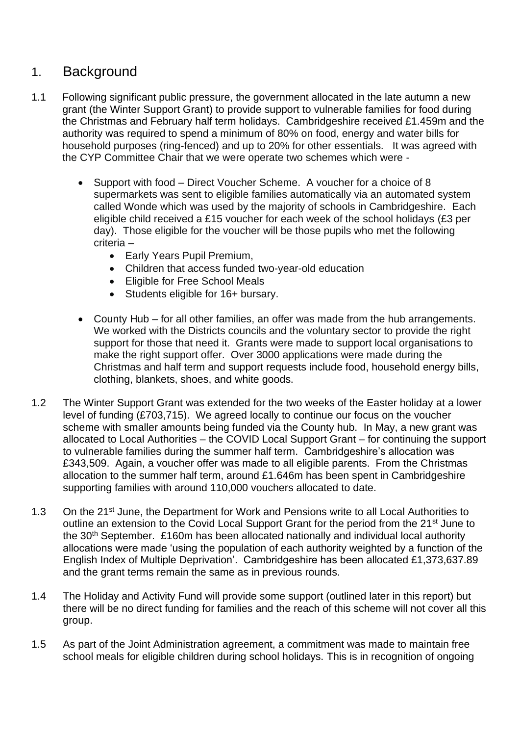## 1. Background

- 1.1 Following significant public pressure, the government allocated in the late autumn a new grant (the Winter Support Grant) to provide support to vulnerable families for food during the Christmas and February half term holidays. Cambridgeshire received £1.459m and the authority was required to spend a minimum of 80% on food, energy and water bills for household purposes (ring-fenced) and up to 20% for other essentials. It was agreed with the CYP Committee Chair that we were operate two schemes which were -
	- Support with food Direct Voucher Scheme. A voucher for a choice of 8 supermarkets was sent to eligible families automatically via an automated system called Wonde which was used by the majority of schools in Cambridgeshire. Each eligible child received a £15 voucher for each week of the school holidays (£3 per day). Those eligible for the voucher will be those pupils who met the following criteria –
		- Early Years Pupil Premium,
		- Children that access funded two-year-old education
		- Eligible for Free School Meals
		- Students eligible for 16+ bursary.
	- County Hub for all other families, an offer was made from the hub arrangements. We worked with the Districts councils and the voluntary sector to provide the right support for those that need it. Grants were made to support local organisations to make the right support offer. Over 3000 applications were made during the Christmas and half term and support requests include food, household energy bills, clothing, blankets, shoes, and white goods.
- 1.2 The Winter Support Grant was extended for the two weeks of the Easter holiday at a lower level of funding (£703,715). We agreed locally to continue our focus on the voucher scheme with smaller amounts being funded via the County hub. In May, a new grant was allocated to Local Authorities – the COVID Local Support Grant – for continuing the support to vulnerable families during the summer half term. Cambridgeshire's allocation was £343,509. Again, a voucher offer was made to all eligible parents. From the Christmas allocation to the summer half term, around £1.646m has been spent in Cambridgeshire supporting families with around 110,000 vouchers allocated to date.
- 1.3 On the 21<sup>st</sup> June, the Department for Work and Pensions write to all Local Authorities to outline an extension to the Covid Local Support Grant for the period from the 21<sup>st</sup> June to the 30<sup>th</sup> September. £160m has been allocated nationally and individual local authority allocations were made 'using the population of each authority weighted by a function of the English Index of Multiple Deprivation'. Cambridgeshire has been allocated £1,373,637.89 and the grant terms remain the same as in previous rounds.
- 1.4 The Holiday and Activity Fund will provide some support (outlined later in this report) but there will be no direct funding for families and the reach of this scheme will not cover all this group.
- 1.5 As part of the Joint Administration agreement, a commitment was made to maintain free school meals for eligible children during school holidays. This is in recognition of ongoing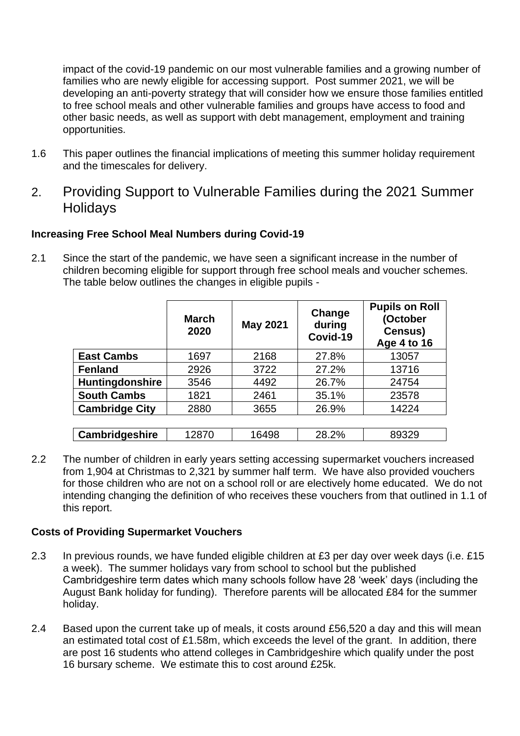impact of the covid-19 pandemic on our most vulnerable families and a growing number of families who are newly eligible for accessing support. Post summer 2021, we will be developing an anti-poverty strategy that will consider how we ensure those families entitled to free school meals and other vulnerable families and groups have access to food and other basic needs, as well as support with debt management, employment and training opportunities.

- 1.6 This paper outlines the financial implications of meeting this summer holiday requirement and the timescales for delivery.
- 2. Providing Support to Vulnerable Families during the 2021 Summer **Holidays**

### **Increasing Free School Meal Numbers during Covid-19**

2.1 Since the start of the pandemic, we have seen a significant increase in the number of children becoming eligible for support through free school meals and voucher schemes. The table below outlines the changes in eligible pupils -

|                       | <b>March</b><br>2020 | <b>May 2021</b> | Change<br>during<br>Covid-19 | <b>Pupils on Roll</b><br>(October<br>Census)<br>Age 4 to 16 |
|-----------------------|----------------------|-----------------|------------------------------|-------------------------------------------------------------|
| <b>East Cambs</b>     | 1697                 | 2168            | 27.8%                        | 13057                                                       |
| <b>Fenland</b>        | 2926                 | 3722            | 27.2%                        | 13716                                                       |
| Huntingdonshire       | 3546                 | 4492            | 26.7%                        | 24754                                                       |
| <b>South Cambs</b>    | 1821                 | 2461            | 35.1%                        | 23578                                                       |
| <b>Cambridge City</b> | 2880                 | 3655            | 26.9%                        | 14224                                                       |
|                       |                      |                 |                              |                                                             |
| <b>Cambridgeshire</b> | 12870                | 16498           | 28.2%                        | 89329                                                       |

2.2 The number of children in early years setting accessing supermarket vouchers increased from 1,904 at Christmas to 2,321 by summer half term. We have also provided vouchers for those children who are not on a school roll or are electively home educated. We do not intending changing the definition of who receives these vouchers from that outlined in 1.1 of this report.

### **Costs of Providing Supermarket Vouchers**

- 2.3 In previous rounds, we have funded eligible children at £3 per day over week days (i.e. £15 a week). The summer holidays vary from school to school but the published Cambridgeshire term dates which many schools follow have 28 'week' days (including the August Bank holiday for funding). Therefore parents will be allocated £84 for the summer holiday.
- 2.4 Based upon the current take up of meals, it costs around £56,520 a day and this will mean an estimated total cost of £1.58m, which exceeds the level of the grant. In addition, there are post 16 students who attend colleges in Cambridgeshire which qualify under the post 16 bursary scheme. We estimate this to cost around £25k.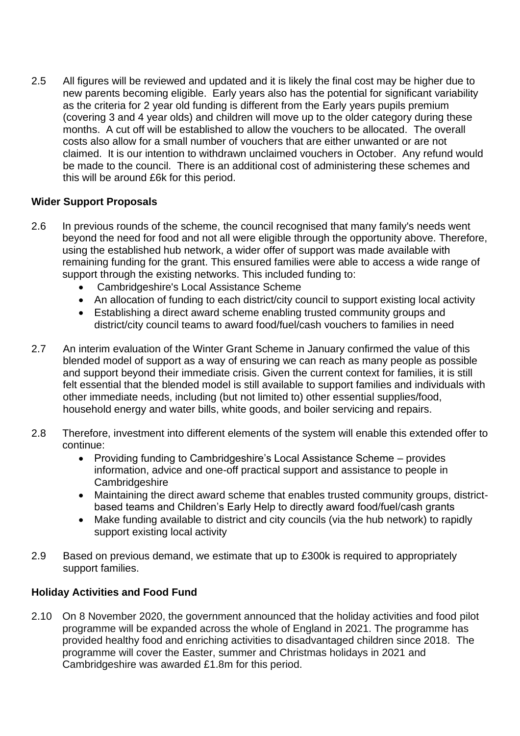2.5 All figures will be reviewed and updated and it is likely the final cost may be higher due to new parents becoming eligible. Early years also has the potential for significant variability as the criteria for 2 year old funding is different from the Early years pupils premium (covering 3 and 4 year olds) and children will move up to the older category during these months. A cut off will be established to allow the vouchers to be allocated. The overall costs also allow for a small number of vouchers that are either unwanted or are not claimed. It is our intention to withdrawn unclaimed vouchers in October. Any refund would be made to the council. There is an additional cost of administering these schemes and this will be around £6k for this period.

### **Wider Support Proposals**

- 2.6 In previous rounds of the scheme, the council recognised that many family's needs went beyond the need for food and not all were eligible through the opportunity above. Therefore, using the established hub network, a wider offer of support was made available with remaining funding for the grant. This ensured families were able to access a wide range of support through the existing networks. This included funding to:
	- Cambridgeshire's Local Assistance Scheme
	- An allocation of funding to each district/city council to support existing local activity
	- Establishing a direct award scheme enabling trusted community groups and district/city council teams to award food/fuel/cash vouchers to families in need
- 2.7 An interim evaluation of the Winter Grant Scheme in January confirmed the value of this blended model of support as a way of ensuring we can reach as many people as possible and support beyond their immediate crisis. Given the current context for families, it is still felt essential that the blended model is still available to support families and individuals with other immediate needs, including (but not limited to) other essential supplies/food, household energy and water bills, white goods, and boiler servicing and repairs.
- 2.8 Therefore, investment into different elements of the system will enable this extended offer to continue:
	- Providing funding to Cambridgeshire's Local Assistance Scheme provides information, advice and one-off practical support and assistance to people in **Cambridgeshire**
	- Maintaining the direct award scheme that enables trusted community groups, districtbased teams and Children's Early Help to directly award food/fuel/cash grants
	- Make funding available to district and city councils (via the hub network) to rapidly support existing local activity
- 2.9 Based on previous demand, we estimate that up to £300k is required to appropriately support families.

### **Holiday Activities and Food Fund**

2.10 On 8 November 2020, the government announced that the holiday activities and food pilot programme will be expanded across the whole of England in 2021. The programme has provided healthy food and enriching activities to disadvantaged children since 2018. The programme will cover the Easter, summer and Christmas holidays in 2021 and Cambridgeshire was awarded £1.8m for this period.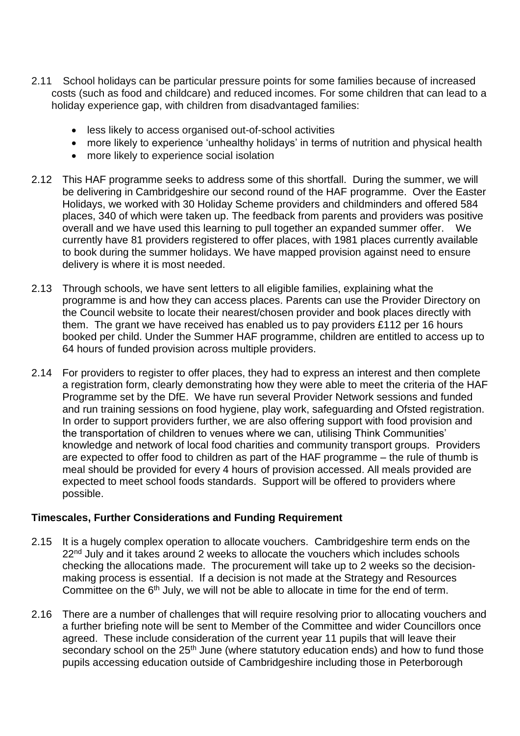- 2.11 School holidays can be particular pressure points for some families because of increased costs (such as food and childcare) and reduced incomes. For some children that can lead to a holiday experience gap, with children from disadvantaged families:
	- less likely to access organised out-of-school activities
	- more likely to experience 'unhealthy holidays' in terms of nutrition and physical health
	- more likely to experience social isolation
- 2.12 This HAF programme seeks to address some of this shortfall. During the summer, we will be delivering in Cambridgeshire our second round of the HAF programme. Over the Easter Holidays, we worked with 30 Holiday Scheme providers and childminders and offered 584 places, 340 of which were taken up. The feedback from parents and providers was positive overall and we have used this learning to pull together an expanded summer offer. We currently have 81 providers registered to offer places, with 1981 places currently available to book during the summer holidays. We have mapped provision against need to ensure delivery is where it is most needed.
- 2.13 Through schools, we have sent letters to all eligible families, explaining what the programme is and how they can access places. Parents can use the Provider Directory on the Council website to locate their nearest/chosen provider and book places directly with them. The grant we have received has enabled us to pay providers £112 per 16 hours booked per child. Under the Summer HAF programme, children are entitled to access up to 64 hours of funded provision across multiple providers.
- 2.14 For providers to register to offer places, they had to express an interest and then complete a registration form, clearly demonstrating how they were able to meet the criteria of the HAF Programme set by the DfE. We have run several Provider Network sessions and funded and run training sessions on food hygiene, play work, safeguarding and Ofsted registration. In order to support providers further, we are also offering support with food provision and the transportation of children to venues where we can, utilising Think Communities' knowledge and network of local food charities and community transport groups. Providers are expected to offer food to children as part of the HAF programme – the rule of thumb is meal should be provided for every 4 hours of provision accessed. All meals provided are expected to meet school foods standards. Support will be offered to providers where possible.

### **Timescales, Further Considerations and Funding Requirement**

- 2.15 It is a hugely complex operation to allocate vouchers. Cambridgeshire term ends on the 22<sup>nd</sup> July and it takes around 2 weeks to allocate the vouchers which includes schools checking the allocations made. The procurement will take up to 2 weeks so the decisionmaking process is essential. If a decision is not made at the Strategy and Resources Committee on the 6<sup>th</sup> July, we will not be able to allocate in time for the end of term.
- 2.16 There are a number of challenges that will require resolving prior to allocating vouchers and a further briefing note will be sent to Member of the Committee and wider Councillors once agreed. These include consideration of the current year 11 pupils that will leave their secondary school on the 25<sup>th</sup> June (where statutory education ends) and how to fund those pupils accessing education outside of Cambridgeshire including those in Peterborough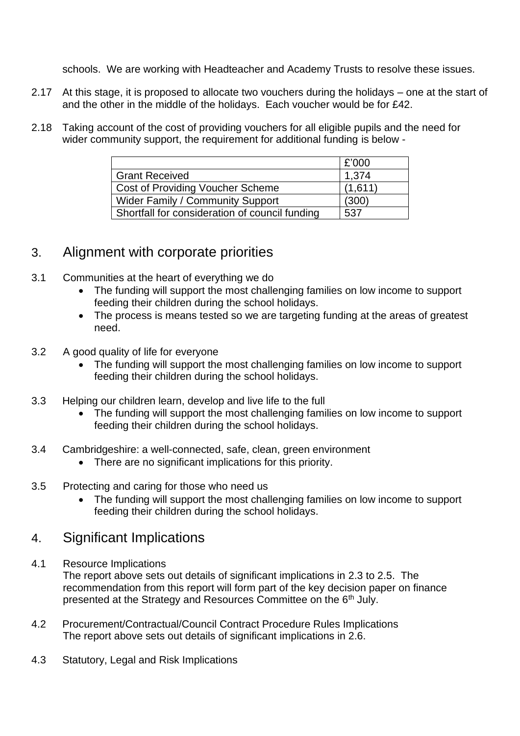schools. We are working with Headteacher and Academy Trusts to resolve these issues.

- 2.17 At this stage, it is proposed to allocate two vouchers during the holidays one at the start of and the other in the middle of the holidays. Each voucher would be for £42.
- 2.18 Taking account of the cost of providing vouchers for all eligible pupils and the need for wider community support, the requirement for additional funding is below -

|                                                | £'000   |
|------------------------------------------------|---------|
| <b>Grant Received</b>                          | 1,374   |
| <b>Cost of Providing Voucher Scheme</b>        | (1,611) |
| Wider Family / Community Support               | (300)   |
| Shortfall for consideration of council funding | 537     |

## 3. Alignment with corporate priorities

- 3.1 Communities at the heart of everything we do
	- The funding will support the most challenging families on low income to support feeding their children during the school holidays.
	- The process is means tested so we are targeting funding at the areas of greatest need.
- 3.2 A good quality of life for everyone
	- The funding will support the most challenging families on low income to support feeding their children during the school holidays.
- 3.3 Helping our children learn, develop and live life to the full
	- The funding will support the most challenging families on low income to support feeding their children during the school holidays.
- 3.4 Cambridgeshire: a well-connected, safe, clean, green environment
	- There are no significant implications for this priority.
- 3.5 Protecting and caring for those who need us
	- The funding will support the most challenging families on low income to support feeding their children during the school holidays.

### 4. Significant Implications

4.1 Resource Implications

The report above sets out details of significant implications in 2.3 to 2.5. The recommendation from this report will form part of the key decision paper on finance presented at the Strategy and Resources Committee on the 6th July.

- 4.2 Procurement/Contractual/Council Contract Procedure Rules Implications The report above sets out details of significant implications in 2.6.
- 4.3 Statutory, Legal and Risk Implications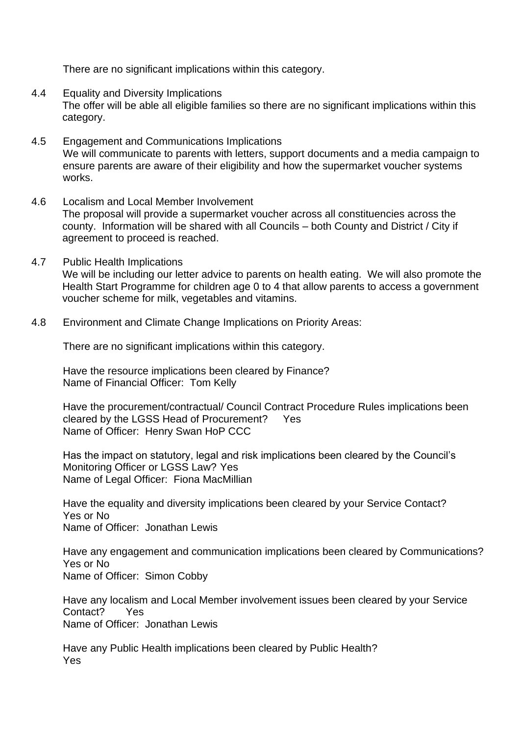There are no significant implications within this category.

- 4.4 Equality and Diversity Implications The offer will be able all eligible families so there are no significant implications within this category.
- 4.5 Engagement and Communications Implications We will communicate to parents with letters, support documents and a media campaign to ensure parents are aware of their eligibility and how the supermarket voucher systems works.
- 4.6 Localism and Local Member Involvement The proposal will provide a supermarket voucher across all constituencies across the county. Information will be shared with all Councils – both County and District / City if agreement to proceed is reached.
- 4.7 Public Health Implications We will be including our letter advice to parents on health eating. We will also promote the Health Start Programme for children age 0 to 4 that allow parents to access a government voucher scheme for milk, vegetables and vitamins.
- 4.8 Environment and Climate Change Implications on Priority Areas:

There are no significant implications within this category.

Have the resource implications been cleared by Finance? Name of Financial Officer: Tom Kelly

Have the procurement/contractual/ Council Contract Procedure Rules implications been cleared by the LGSS Head of Procurement? Yes Name of Officer: Henry Swan HoP CCC

Has the impact on statutory, legal and risk implications been cleared by the Council's Monitoring Officer or LGSS Law? Yes Name of Legal Officer: Fiona MacMillian

Have the equality and diversity implications been cleared by your Service Contact? Yes or No Name of Officer: Jonathan Lewis

Have any engagement and communication implications been cleared by Communications? Yes or No Name of Officer: Simon Cobby

Have any localism and Local Member involvement issues been cleared by your Service Contact? Yes Name of Officer: Jonathan Lewis

Have any Public Health implications been cleared by Public Health? Yes